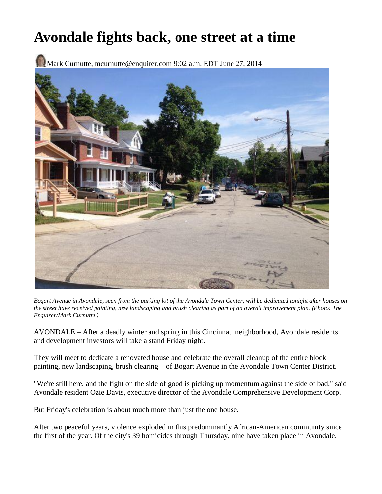## **Avondale fights back, one street at a time**

Mark Curnutte, mcurnutte@enquirer.com 9:02 a.m. EDT June 27, 2014



*Bogart Avenue in Avondale, seen from the parking lot of the Avondale Town Center, will be dedicated tonight after houses on the street have received painting, new landscaping and brush clearing as part of an overall improvement plan. (Photo: The Enquirer/Mark Curnutte )*

AVONDALE – After a deadly winter and spring in this Cincinnati neighborhood, Avondale residents and development investors will take a stand Friday night.

They will meet to dedicate a renovated house and celebrate the overall cleanup of the entire block – painting, new landscaping, brush clearing – of Bogart Avenue in the Avondale Town Center District.

"We're still here, and the fight on the side of good is picking up momentum against the side of bad," said Avondale resident Ozie Davis, executive director of the Avondale Comprehensive Development Corp.

But Friday's celebration is about much more than just the one house.

After two peaceful years, violence exploded in this predominantly African-American community since the first of the year. Of the city's 39 homicides through Thursday, nine have taken place in Avondale.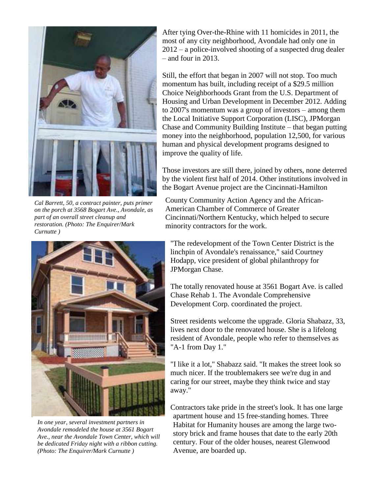

*Cal Barrett, 50, a contract painter, puts primer on the porch at 3568 Bogart Ave., Avondale, as part of an overall street cleanup and restoration. (Photo: The Enquirer/Mark Curnutte )*



*In one year, several investment partners in Avondale remodeled the house at 3561 Bogart Ave., near the Avondale Town Center, which will be dedicated Friday night with a ribbon cutting. (Photo: The Enquirer/Mark Curnutte )*

After tying Over-the-Rhine with 11 homicides in 2011, the most of any city neighborhood, Avondale had only one in 2012 – a police-involved shooting of a suspected drug dealer – and four in 2013.

Still, the effort that began in 2007 will not stop. Too much momentum has built, including receipt of a \$29.5 million Choice Neighborhoods Grant from the U.S. Department of Housing and Urban Development in December 2012. Adding to 2007's momentum was a group of investors – among them the Local Initiative Support Corporation (LISC), JPMorgan Chase and Community Building Institute – that began putting money into the neighborhood, population 12,500, for various human and physical development programs designed to improve the quality of life.

Those investors are still there, joined by others, none deterred by the violent first half of 2014. Other institutions involved in the Bogart Avenue project are the Cincinnati-Hamilton

County Community Action Agency and the African-American Chamber of Commerce of Greater Cincinnati/Northern Kentucky, which helped to secure minority contractors for the work.

"The redevelopment of the Town Center District is the linchpin of Avondale's renaissance," said Courtney Hodapp, vice president of global philanthropy for JPMorgan Chase.

The totally renovated house at 3561 Bogart Ave. is called Chase Rehab 1. The Avondale Comprehensive Development Corp. coordinated the project.

Street residents welcome the upgrade. Gloria Shabazz, 33, lives next door to the renovated house. She is a lifelong resident of Avondale, people who refer to themselves as "A-1 from Day 1."

"I like it a lot," Shabazz said. "It makes the street look so much nicer. If the troublemakers see we're dug in and caring for our street, maybe they think twice and stay away."

Contractors take pride in the street's look. It has one large apartment house and 15 free-standing homes. Three Habitat for Humanity houses are among the large twostory brick and frame houses that date to the early 20th century. Four of the older houses, nearest Glenwood Avenue, are boarded up.